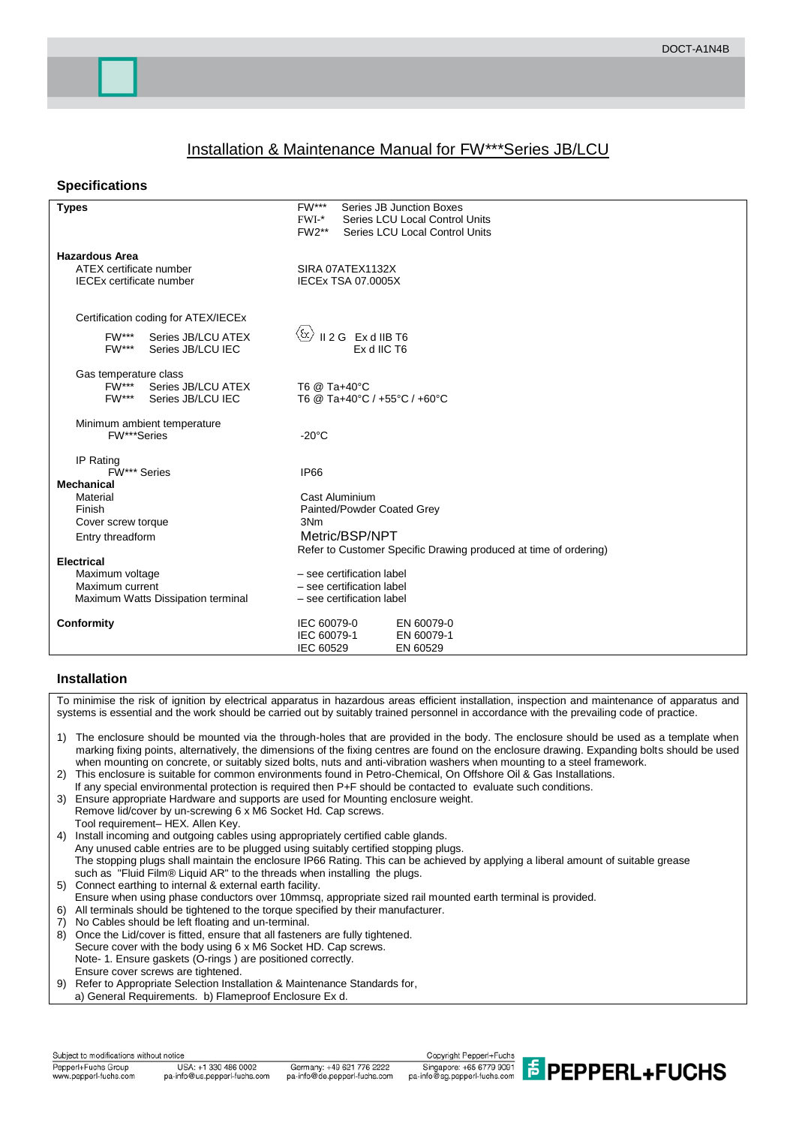# Installation & Maintenance Manual for FW\*\*\*Series JB/LCU

## **Specifications**

| $FW***$<br>Series JB Junction Boxes<br>$FWI-$ *<br>Series LCU Local Control Units<br>$FW2**$<br>Series LCU Local Control Units |
|--------------------------------------------------------------------------------------------------------------------------------|
|                                                                                                                                |
| SIRA 07ATEX1132X                                                                                                               |
| <b>IECEx TSA 07.0005X</b>                                                                                                      |
|                                                                                                                                |
|                                                                                                                                |
| $\langle \mathrm{f} \rangle$<br>II 2 G Ex d IIB T6                                                                             |
| Ex d IIC T6                                                                                                                    |
|                                                                                                                                |
| T6 @ Ta+40°C                                                                                                                   |
| T6 @ Ta+40°C / +55°C / +60°C                                                                                                   |
|                                                                                                                                |
| $-20^{\circ}$ C                                                                                                                |
|                                                                                                                                |
| IP66                                                                                                                           |
| Cast Aluminium                                                                                                                 |
| Painted/Powder Coated Grey                                                                                                     |
| 3Nm                                                                                                                            |
| Metric/BSP/NPT                                                                                                                 |
| Refer to Customer Specific Drawing produced at time of ordering)                                                               |
| - see certification label                                                                                                      |
| - see certification label                                                                                                      |
| - see certification label                                                                                                      |
|                                                                                                                                |
| IEC 60079-0<br>EN 60079-0                                                                                                      |
| IEC 60079-1<br>EN 60079-1<br>IEC 60529<br>EN 60529                                                                             |
|                                                                                                                                |

## **Installation**

To minimise the risk of ignition by electrical apparatus in hazardous areas efficient installation, inspection and maintenance of apparatus and systems is essential and the work should be carried out by suitably trained personnel in accordance with the prevailing code of practice.

- 1) The enclosure should be mounted via the through-holes that are provided in the body. The enclosure should be used as a template when marking fixing points, alternatively, the dimensions of the fixing centres are found on the enclosure drawing. Expanding bolts should be used when mounting on concrete, or suitably sized bolts, nuts and anti-vibration washers when mounting to a steel framework.
- 2) This enclosure is suitable for common environments found in Petro-Chemical, On Offshore Oil & Gas Installations. If any special environmental protection is required then P+F should be contacted to evaluate such conditions.
- 3) Ensure appropriate Hardware and supports are used for Mounting enclosure weight. Remove lid/cover by un-screwing 6 x M6 Socket Hd. Cap screws. Tool requirement– HEX. Allen Key.
- 4) Install incoming and outgoing cables using appropriately certified cable glands. Any unused cable entries are to be plugged using suitably certified stopping plugs. The stopping plugs shall maintain the enclosure IP66 Rating. This can be achieved by applying a liberal amount of suitable grease such as "Fluid Film® Liquid AR" to the threads when installing the plugs.
- 5) Connect earthing to internal & external earth facility.
- Ensure when using phase conductors over 10mmsq, appropriate sized rail mounted earth terminal is provided.
- 6) All terminals should be tightened to the torque specified by their manufacturer.
- No Cables should be left floating and un-terminal.
- 8) Once the Lid/cover is fitted, ensure that all fasteners are fully tightened.
- Secure cover with the body using 6 x M6 Socket HD. Cap screws.
- Note- 1. Ensure gaskets (O-rings ) are positioned correctly.
- Ensure cover screws are tightened.
- 9) Refer to Appropriate Selection Installation & Maintenance Standards for,
- a) General Requirements. b) Flameproof Enclosure Ex d.

Subject to modifications without notice Pepperl+Fuchs Group www.pepperl-fuchs.com